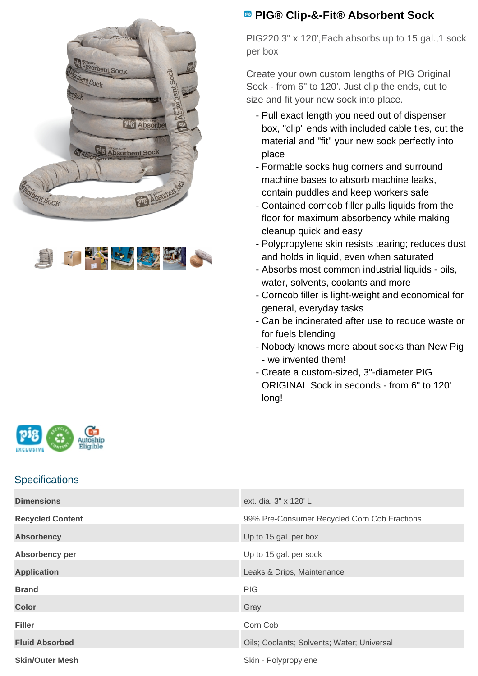



## **PIG® Clip-&-Fit® Absorbent Sock**

PIG220 3" x 120',Each absorbs up to 15 gal.,1 sock per box

Create your own custom lengths of PIG Original Sock - from 6" to 120'. Just clip the ends, cut to size and fit your new sock into place.

- Pull exact length you need out of dispenser box, "clip" ends with included cable ties, cut the material and "fit" your new sock perfectly into place
- Formable socks hug corners and surround machine bases to absorb machine leaks, contain puddles and keep workers safe
- Contained corncob filler pulls liquids from the floor for maximum absorbency while making cleanup quick and easy
- Polypropylene skin resists tearing; reduces dust and holds in liquid, even when saturated
- Absorbs most common industrial liquids oils, water, solvents, coolants and more
- Corncob filler is light-weight and economical for general, everyday tasks
- Can be incinerated after use to reduce waste or for fuels blending
- Nobody knows more about socks than New Pig - we invented them!
- Create a custom-sized, 3"-diameter PIG ORIGINAL Sock in seconds - from 6" to 120' long!



## **Specifications**

| <b>Dimensions</b>       | ext. dia. 3" x 120' L                        |
|-------------------------|----------------------------------------------|
| <b>Recycled Content</b> | 99% Pre-Consumer Recycled Corn Cob Fractions |
| <b>Absorbency</b>       | Up to 15 gal. per box                        |
| Absorbency per          | Up to 15 gal. per sock                       |
| <b>Application</b>      | Leaks & Drips, Maintenance                   |
| <b>Brand</b>            | PIG                                          |
| <b>Color</b>            | Gray                                         |
| <b>Filler</b>           | Corn Cob                                     |
| <b>Fluid Absorbed</b>   | Oils; Coolants; Solvents; Water; Universal   |
| <b>Skin/Outer Mesh</b>  | Skin - Polypropylene                         |